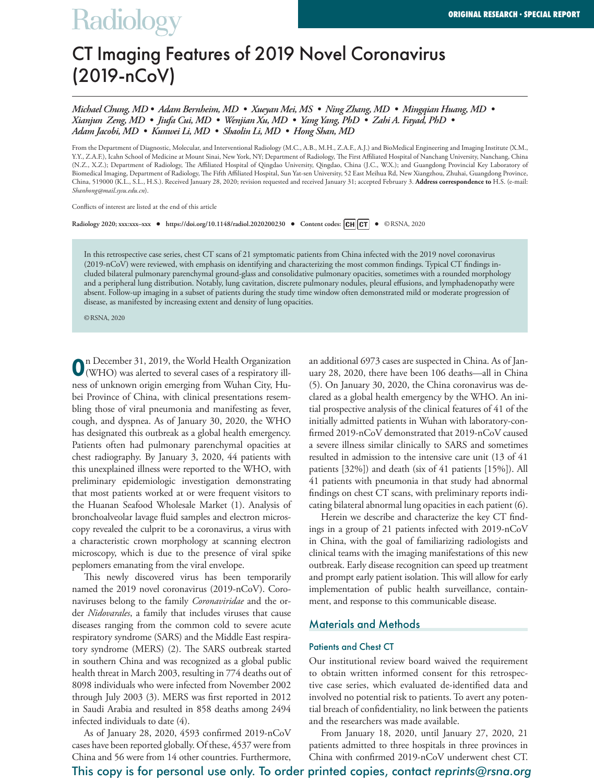# **Radiology**

# CT Imaging Features of 2019 Novel Coronavirus (2019-nCoV)

*Michael Chung, MD • Adam Bernheim, MD • Xueyan Mei, MS • Ning Zhang, MD • Mingqian Huang, MD • Xianjun Zeng, MD • Jiufa Cui, MD • Wenjian Xu, MD • Yang Yang, PhD • Zahi A. Fayad, PhD • Adam Jacobi, MD • Kunwei Li, MD • Shaolin Li, MD • Hong Shan, MD*

From the Department of Diagnostic, Molecular, and Interventional Radiology (M.C., A.B., M.H., Z.A.F., A.J.) and BioMedical Engineering and Imaging Institute (X.M., Y.Y., Z.A.F.), Icahn School of Medicine at Mount Sinai, New York, NY; Department of Radiology, The First Affiliated Hospital of Nanchang University, Nanchang, China (N.Z., X.Z.); Department of Radiology, The Affiliated Hospital of Qingdao University, Qingdao, China (J.C., W.X.); and Guangdong Provincial Key Laboratory of Biomedical Imaging, Department of Radiology, The Fifth Affiliated Hospital, Sun Yat-sen University, 52 East Meihua Rd, New Xiangzhou, Zhuhai, Guangdong Province, China, 519000 (K.L., S.L., H.S.). Received January 28, 2020; revision requested and received January 31; accepted February 3. **Address correspondence to** H.S. (e-mail: *Shanhong@mail.sysu.edu.cn*).

Conflicts of interest are listed at the end of this article

**Radiology 2020; xxx:xxx–xxx • https://doi.org/10.1148/radiol.2020200230 • Content codes: •** ©RSNA, 2020

In this retrospective case series, chest CT scans of 21 symptomatic patients from China infected with the 2019 novel coronavirus (2019-nCoV) were reviewed, with emphasis on identifying and characterizing the most common findings. Typical CT findings included bilateral pulmonary parenchymal ground-glass and consolidative pulmonary opacities, sometimes with a rounded morphology and a peripheral lung distribution. Notably, lung cavitation, discrete pulmonary nodules, pleural effusions, and lymphadenopathy were absent. Follow-up imaging in a subset of patients during the study time window often demonstrated mild or moderate progression of disease, as manifested by increasing extent and density of lung opacities.

©RSNA, 2020

**O**n December 31, 2019, the World Health Organization (WHO) was alerted to several cases of a respiratory illness of unknown origin emerging from Wuhan City, Hubei Province of China, with clinical presentations resembling those of viral pneumonia and manifesting as fever, cough, and dyspnea. As of January 30, 2020, the WHO has designated this outbreak as a global health emergency. Patients often had pulmonary parenchymal opacities at chest radiography. By January 3, 2020, 44 patients with this unexplained illness were reported to the WHO, with preliminary epidemiologic investigation demonstrating that most patients worked at or were frequent visitors to the Huanan Seafood Wholesale Market (1). Analysis of bronchoalveolar lavage fluid samples and electron microscopy revealed the culprit to be a coronavirus, a virus with a characteristic crown morphology at scanning electron microscopy, which is due to the presence of viral spike peplomers emanating from the viral envelope.

This newly discovered virus has been temporarily named the 2019 novel coronavirus (2019-nCoV). Coronaviruses belong to the family *Coronaviridae* and the order *Nidovarales*, a family that includes viruses that cause diseases ranging from the common cold to severe acute respiratory syndrome (SARS) and the Middle East respiratory syndrome (MERS) (2). The SARS outbreak started in southern China and was recognized as a global public health threat in March 2003, resulting in 774 deaths out of 8098 individuals who were infected from November 2002 through July 2003 (3). MERS was first reported in 2012 in Saudi Arabia and resulted in 858 deaths among 2494 infected individuals to date (4).

As of January 28, 2020, 4593 confirmed 2019-nCoV cases have been reported globally. Of these, 4537 were from China and 56 were from 14 other countries. Furthermore, an additional 6973 cases are suspected in China. As of January 28, 2020, there have been 106 deaths—all in China (5). On January 30, 2020, the China coronavirus was declared as a global health emergency by the WHO. An initial prospective analysis of the clinical features of 41 of the initially admitted patients in Wuhan with laboratory-confirmed 2019-nCoV demonstrated that 2019-nCoV caused a severe illness similar clinically to SARS and sometimes resulted in admission to the intensive care unit (13 of 41 patients [32%]) and death (six of 41 patients [15%]). All 41 patients with pneumonia in that study had abnormal findings on chest CT scans, with preliminary reports indicating bilateral abnormal lung opacities in each patient (6).

Herein we describe and characterize the key CT findings in a group of 21 patients infected with 2019-nCoV in China, with the goal of familiarizing radiologists and clinical teams with the imaging manifestations of this new outbreak. Early disease recognition can speed up treatment and prompt early patient isolation. This will allow for early implementation of public health surveillance, containment, and response to this communicable disease.

#### Materials and Methods

#### Patients and Chest CT

Our institutional review board waived the requirement to obtain written informed consent for this retrospective case series, which evaluated de-identified data and involved no potential risk to patients. To avert any potential breach of confidentiality, no link between the patients and the researchers was made available.

From January 18, 2020, until January 27, 2020, 21 patients admitted to three hospitals in three provinces in China with confirmed 2019-nCoV underwent chest CT.

# This copy is for personal use only. To order printed copies, contact *reprints@rsna.org*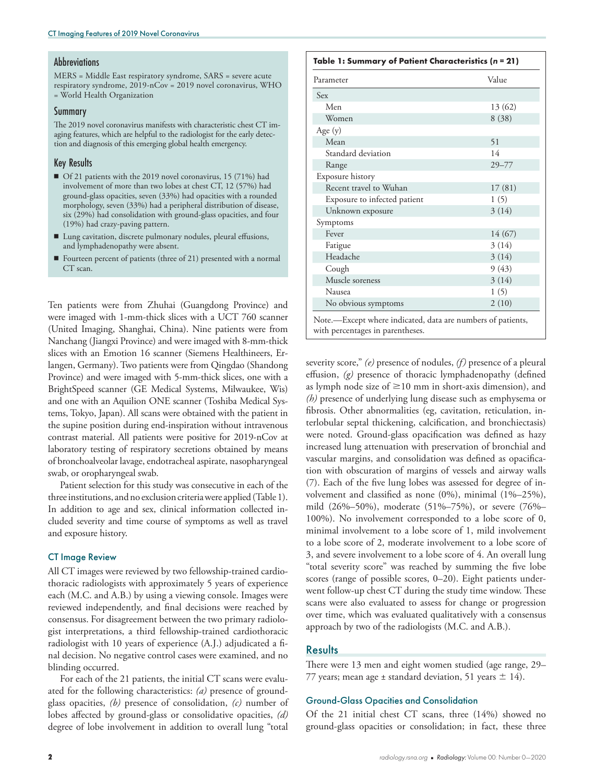#### **Abbreviations**

MERS = Middle East respiratory syndrome, SARS = severe acute respiratory syndrome, 2019-nCov = 2019 novel coronavirus, WHO = World Health Organization

#### **Summary**

The 2019 novel coronavirus manifests with characteristic chest CT imaging features, which are helpful to the radiologist for the early detection and diagnosis of this emerging global health emergency.

#### Key Results

- Of 21 patients with the 2019 novel coronavirus, 15 (71%) had involvement of more than two lobes at chest CT, 12 (57%) had ground-glass opacities, seven (33%) had opacities with a rounded morphology, seven (33%) had a peripheral distribution of disease, six (29%) had consolidation with ground-glass opacities, and four (19%) had crazy-paving pattern.
- Lung cavitation, discrete pulmonary nodules, pleural effusions, and lymphadenopathy were absent.
- $\blacksquare$  Fourteen percent of patients (three of 21) presented with a normal CT scan.

Ten patients were from Zhuhai (Guangdong Province) and were imaged with 1-mm-thick slices with a UCT 760 scanner (United Imaging, Shanghai, China). Nine patients were from Nanchang (Jiangxi Province) and were imaged with 8-mm-thick slices with an Emotion 16 scanner (Siemens Healthineers, Erlangen, Germany). Two patients were from Qingdao (Shandong Province) and were imaged with 5-mm-thick slices, one with a BrightSpeed scanner (GE Medical Systems, Milwaukee, Wis) and one with an Aquilion ONE scanner (Toshiba Medical Systems, Tokyo, Japan). All scans were obtained with the patient in the supine position during end-inspiration without intravenous contrast material. All patients were positive for 2019-nCov at laboratory testing of respiratory secretions obtained by means of bronchoalveolar lavage, endotracheal aspirate, nasopharyngeal swab, or oropharyngeal swab.

Patient selection for this study was consecutive in each of the three institutions, and no exclusion criteria were applied (Table 1). In addition to age and sex, clinical information collected included severity and time course of symptoms as well as travel and exposure history.

#### CT Image Review

All CT images were reviewed by two fellowship-trained cardiothoracic radiologists with approximately 5 years of experience each (M.C. and A.B.) by using a viewing console. Images were reviewed independently, and final decisions were reached by consensus. For disagreement between the two primary radiologist interpretations, a third fellowship-trained cardiothoracic radiologist with 10 years of experience (A.J.) adjudicated a final decision. No negative control cases were examined, and no blinding occurred.

For each of the 21 patients, the initial CT scans were evaluated for the following characteristics: *(a)* presence of groundglass opacities, *(b)* presence of consolidation, *(c)* number of lobes affected by ground-glass or consolidative opacities, *(d)* degree of lobe involvement in addition to overall lung "total

#### **Table 1: Summary of Patient Characteristics (***n* **= 21)**

| Value                                                       |
|-------------------------------------------------------------|
|                                                             |
|                                                             |
| 13 (62)                                                     |
| 8(38)                                                       |
|                                                             |
| 51                                                          |
| 14                                                          |
| $29 - 77$                                                   |
|                                                             |
| 17(81)                                                      |
| 1(5)                                                        |
| 3(14)                                                       |
|                                                             |
| 14 (67)                                                     |
| 3(14)                                                       |
| 3(14)                                                       |
| 9(43)                                                       |
| 3(14)                                                       |
| 1(5)                                                        |
| 2(10)                                                       |
| Note.—Except where indicated, data are numbers of patients, |

with percentages in parentheses.

severity score," *(e)* presence of nodules, *(f)* presence of a pleural effusion, *(g)* presence of thoracic lymphadenopathy (defined as lymph node size of  $\geq$ 10 mm in short-axis dimension), and *(h)* presence of underlying lung disease such as emphysema or fibrosis. Other abnormalities (eg, cavitation, reticulation, interlobular septal thickening, calcification, and bronchiectasis) were noted. Ground-glass opacification was defined as hazy increased lung attenuation with preservation of bronchial and vascular margins, and consolidation was defined as opacification with obscuration of margins of vessels and airway walls (7). Each of the five lung lobes was assessed for degree of involvement and classified as none (0%), minimal (1%–25%), mild (26%–50%), moderate (51%–75%), or severe (76%– 100%). No involvement corresponded to a lobe score of 0, minimal involvement to a lobe score of 1, mild involvement to a lobe score of 2, moderate involvement to a lobe score of 3, and severe involvement to a lobe score of 4. An overall lung "total severity score" was reached by summing the five lobe scores (range of possible scores, 0–20). Eight patients underwent follow-up chest CT during the study time window. These scans were also evaluated to assess for change or progression over time, which was evaluated qualitatively with a consensus approach by two of the radiologists (M.C. and A.B.).

### **Results**

There were 13 men and eight women studied (age range, 29– 77 years; mean age  $\pm$  standard deviation, 51 years  $\pm$  14).

#### Ground-Glass Opacities and Consolidation

Of the 21 initial chest CT scans, three (14%) showed no ground-glass opacities or consolidation; in fact, these three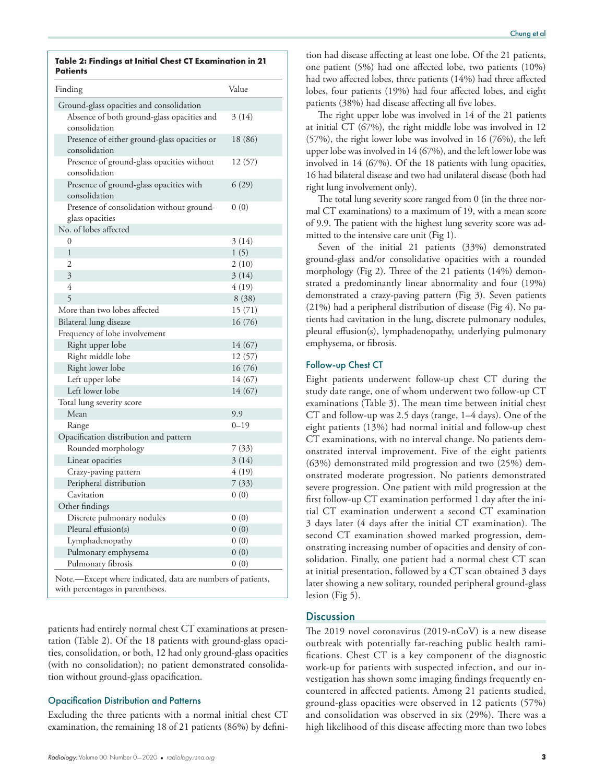**Table 2: Findings at Initial Chest CT Examination in 21 Patients**

| Finding                                                                                         | Value    |
|-------------------------------------------------------------------------------------------------|----------|
| Ground-glass opacities and consolidation                                                        |          |
| Absence of both ground-glass opacities and<br>consolidation                                     | 3(14)    |
| Presence of either ground-glass opacities or<br>consolidation                                   | 18 (86)  |
| Presence of ground-glass opacities without<br>consolidation                                     | 12 (57)  |
| Presence of ground-glass opacities with<br>consolidation                                        | 6(29)    |
| Presence of consolidation without ground-<br>glass opacities                                    | 0(0)     |
| No. of lobes affected                                                                           |          |
| $\theta$                                                                                        | 3(14)    |
| $\mathbf{1}$                                                                                    | 1(5)     |
| $\overline{2}$                                                                                  | 2(10)    |
| 3                                                                                               | 3(14)    |
| 4                                                                                               | 4(19)    |
| $\overline{5}$                                                                                  | 8(38)    |
| More than two lobes affected                                                                    | 15(71)   |
| Bilateral lung disease                                                                          | 16 (76)  |
| Frequency of lobe involvement                                                                   |          |
| Right upper lobe                                                                                | 14 (67)  |
| Right middle lobe                                                                               | 12 (57)  |
| Right lower lobe                                                                                | 16 (76)  |
| Left upper lobe                                                                                 | 14 (67)  |
| Left lower lobe                                                                                 | 14 (67)  |
| Total lung severity score                                                                       |          |
| Mean                                                                                            | 9.9      |
| Range                                                                                           | $0 - 19$ |
| Opacification distribution and pattern                                                          |          |
| Rounded morphology                                                                              | 7(33)    |
| Linear opacities                                                                                | 3(14)    |
| Crazy-paving pattern                                                                            | 4 (19)   |
| Peripheral distribution                                                                         | 7(33)    |
| Cavitation                                                                                      | 0(0)     |
| Other findings                                                                                  |          |
| Discrete pulmonary nodules                                                                      | 0(0)     |
| Pleural effusion(s)                                                                             | 0(0)     |
| Lymphadenopathy                                                                                 | 0(0)     |
| Pulmonary emphysema                                                                             | 0(0)     |
| Pulmonary fibrosis                                                                              | 0(0)     |
|                                                                                                 |          |
| Note.-Except where indicated, data are numbers of patients,<br>with percentages in parentheses. |          |

patients had entirely normal chest CT examinations at presentation (Table 2). Of the 18 patients with ground-glass opacities, consolidation, or both, 12 had only ground-glass opacities (with no consolidation); no patient demonstrated consolidation without ground-glass opacification.

#### Opacification Distribution and Patterns

Excluding the three patients with a normal initial chest CT examination, the remaining 18 of 21 patients (86%) by defini-

tion had disease affecting at least one lobe. Of the 21 patients, one patient (5%) had one affected lobe, two patients (10%) had two affected lobes, three patients (14%) had three affected lobes, four patients (19%) had four affected lobes, and eight patients (38%) had disease affecting all five lobes.

The right upper lobe was involved in 14 of the 21 patients at initial CT (67%), the right middle lobe was involved in 12 (57%), the right lower lobe was involved in 16 (76%), the left upper lobe was involved in 14 (67%), and the left lower lobe was involved in 14 (67%). Of the 18 patients with lung opacities, 16 had bilateral disease and two had unilateral disease (both had right lung involvement only).

The total lung severity score ranged from 0 (in the three normal CT examinations) to a maximum of 19, with a mean score of 9.9. The patient with the highest lung severity score was admitted to the intensive care unit (Fig 1).

Seven of the initial 21 patients (33%) demonstrated ground-glass and/or consolidative opacities with a rounded morphology (Fig 2). Three of the 21 patients (14%) demonstrated a predominantly linear abnormality and four (19%) demonstrated a crazy-paving pattern (Fig 3). Seven patients (21%) had a peripheral distribution of disease (Fig 4). No patients had cavitation in the lung, discrete pulmonary nodules, pleural effusion(s), lymphadenopathy, underlying pulmonary emphysema, or fibrosis.

#### Follow-up Chest CT

Eight patients underwent follow-up chest CT during the study date range, one of whom underwent two follow-up CT examinations (Table 3). The mean time between initial chest CT and follow-up was 2.5 days (range, 1–4 days). One of the eight patients (13%) had normal initial and follow-up chest CT examinations, with no interval change. No patients demonstrated interval improvement. Five of the eight patients (63%) demonstrated mild progression and two (25%) demonstrated moderate progression. No patients demonstrated severe progression. One patient with mild progression at the first follow-up CT examination performed 1 day after the initial CT examination underwent a second CT examination 3 days later (4 days after the initial CT examination). The second CT examination showed marked progression, demonstrating increasing number of opacities and density of consolidation. Finally, one patient had a normal chest CT scan at initial presentation, followed by a CT scan obtained 3 days later showing a new solitary, rounded peripheral ground-glass lesion (Fig 5).

# **Discussion**

The 2019 novel coronavirus (2019-nCoV) is a new disease outbreak with potentially far-reaching public health ramifications. Chest CT is a key component of the diagnostic work-up for patients with suspected infection, and our investigation has shown some imaging findings frequently encountered in affected patients. Among 21 patients studied, ground-glass opacities were observed in 12 patients (57%) and consolidation was observed in six (29%). There was a high likelihood of this disease affecting more than two lobes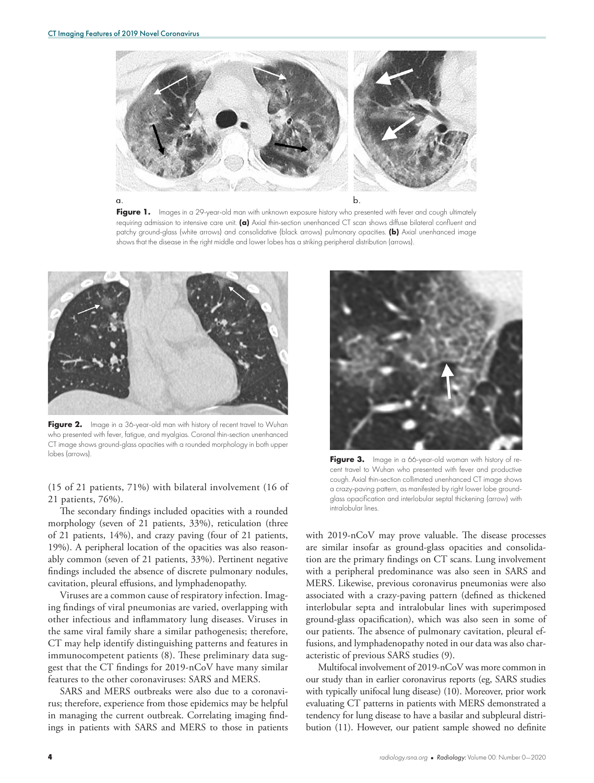

Figure 1. Images in a 29-year-old man with unknown exposure history who presented with fever and cough ultimately requiring admission to intensive care unit. **(a)** Axial thin-section unenhanced CT scan shows diffuse bilateral confluent and patchy ground-glass (white arrows) and consolidative (black arrows) pulmonary opacities. **(b)** Axial unenhanced image shows that the disease in the right middle and lower lobes has a striking peripheral distribution (arrows).



Figure 2. Image in a 36-year-old man with history of recent travel to Wuhan who presented with fever, fatigue, and myalgias. Coronal thin-section unenhanced CT image shows ground-glass opacities with a rounded morphology in both upper lobes (arrows). **Figure 3.** Image in a 66-year-old woman with history of re-

(15 of 21 patients, 71%) with bilateral involvement (16 of 21 patients, 76%).

The secondary findings included opacities with a rounded morphology (seven of 21 patients, 33%), reticulation (three of 21 patients, 14%), and crazy paving (four of 21 patients, 19%). A peripheral location of the opacities was also reasonably common (seven of 21 patients, 33%). Pertinent negative findings included the absence of discrete pulmonary nodules, cavitation, pleural effusions, and lymphadenopathy.

Viruses are a common cause of respiratory infection. Imaging findings of viral pneumonias are varied, overlapping with other infectious and inflammatory lung diseases. Viruses in the same viral family share a similar pathogenesis; therefore, CT may help identify distinguishing patterns and features in immunocompetent patients (8). These preliminary data suggest that the CT findings for 2019-nCoV have many similar features to the other coronaviruses: SARS and MERS.

SARS and MERS outbreaks were also due to a coronavirus; therefore, experience from those epidemics may be helpful in managing the current outbreak. Correlating imaging findings in patients with SARS and MERS to those in patients



cent travel to Wuhan who presented with fever and productive cough. Axial thin-section collimated unenhanced CT image shows a crazy-paving pattern, as manifested by right lower lobe groundglass opacification and interlobular septal thickening (arrow) with intralobular lines.

with 2019-nCoV may prove valuable. The disease processes are similar insofar as ground-glass opacities and consolidation are the primary findings on CT scans. Lung involvement with a peripheral predominance was also seen in SARS and MERS. Likewise, previous coronavirus pneumonias were also associated with a crazy-paving pattern (defined as thickened interlobular septa and intralobular lines with superimposed ground-glass opacification), which was also seen in some of our patients. The absence of pulmonary cavitation, pleural effusions, and lymphadenopathy noted in our data was also characteristic of previous SARS studies (9).

Multifocal involvement of 2019-nCoV was more common in our study than in earlier coronavirus reports (eg, SARS studies with typically unifocal lung disease) (10). Moreover, prior work evaluating CT patterns in patients with MERS demonstrated a tendency for lung disease to have a basilar and subpleural distribution (11). However, our patient sample showed no definite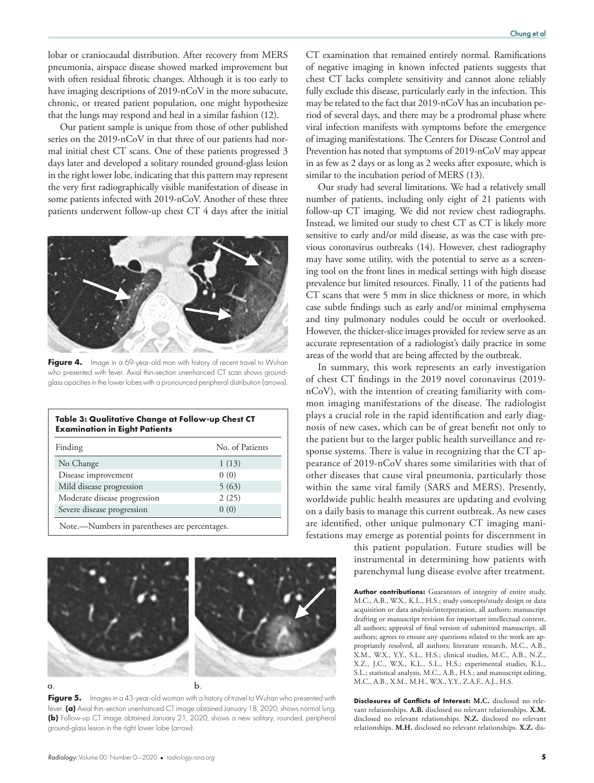lobar or craniocaudal distribution. After recovery from MERS pneumonia, airspace disease showed marked improvement but with often residual fibrotic changes. Although it is too early to have imaging descriptions of 2019-nCoV in the more subacute, chronic, or treated patient population, one might hypothesize that the lungs may respond and heal in a similar fashion (12).

Our patient sample is unique from those of other published series on the 2019-nCoV in that three of our patients had normal initial chest CT scans. One of these patients progressed 3 days later and developed a solitary rounded ground-glass lesion in the right lower lobe, indicating that this pattern may represent the very first radiographically visible manifestation of disease in some patients infected with 2019-nCoV. Another of these three patients underwent follow-up chest CT 4 days after the initial



Figure 4. Image in a 69-year-old man with history of recent travel to Wuhan who presented with fever. Axial thin-section unenhanced CT scan shows groundglass opacities in the lower lobes with a pronounced peripheral distribution (arrows).

| Finding                      | No. of Patients |
|------------------------------|-----------------|
| No Change                    | 1(13)           |
| Disease improvement          | 0(0)            |
| Mild disease progression     | 5(63)           |
| Moderate disease progression | 2(25)           |
| Severe disease progression   | 0(0)            |



**Figure 5.** Images in a 43-year-old woman with a history of travel to Wuhan who presented with fever. **(a)** Axial thin-section unenhanced CT image obtained January 18, 2020, shows normal lung. **(b)** Follow-up CT image obtained January 21, 2020, shows a new solitary, rounded, peripheral ground-glass lesion in the right lower lobe (arrow).

CT examination that remained entirely normal. Ramifications of negative imaging in known infected patients suggests that chest CT lacks complete sensitivity and cannot alone reliably fully exclude this disease, particularly early in the infection. This may be related to the fact that 2019-nCoV has an incubation period of several days, and there may be a prodromal phase where viral infection manifests with symptoms before the emergence of imaging manifestations. The Centers for Disease Control and Prevention has noted that symptoms of 2019-nCoV may appear in as few as 2 days or as long as 2 weeks after exposure, which is similar to the incubation period of MERS (13).

Our study had several limitations. We had a relatively small number of patients, including only eight of 21 patients with follow-up CT imaging. We did not review chest radiographs. Instead, we limited our study to chest CT as CT is likely more sensitive to early and/or mild disease, as was the case with previous coronavirus outbreaks (14). However, chest radiography may have some utility, with the potential to serve as a screening tool on the front lines in medical settings with high disease prevalence but limited resources. Finally, 11 of the patients had CT scans that were 5 mm in slice thickness or more, in which case subtle findings such as early and/or minimal emphysema and tiny pulmonary nodules could be occult or overlooked. However, the thicker-slice images provided for review serve as an accurate representation of a radiologist's daily practice in some areas of the world that are being affected by the outbreak.

In summary, this work represents an early investigation of chest CT findings in the 2019 novel coronavirus (2019 nCoV), with the intention of creating familiarity with common imaging manifestations of the disease. The radiologist plays a crucial role in the rapid identification and early diagnosis of new cases, which can be of great benefit not only to the patient but to the larger public health surveillance and response systems. There is value in recognizing that the CT appearance of 2019-nCoV shares some similarities with that of other diseases that cause viral pneumonia, particularly those within the same viral family (SARS and MERS). Presently, worldwide public health measures are updating and evolving on a daily basis to manage this current outbreak. As new cases are identified, other unique pulmonary CT imaging manifestations may emerge as potential points for discernment in

> this patient population. Future studies will be instrumental in determining how patients with parenchymal lung disease evolve after treatment.

> **Author contributions:** Guarantors of integrity of entire study, M.C., A.B., W.X., K.L., H.S.; study concepts/study design or data acquisition or data analysis/interpretation, all authors; manuscript drafting or manuscript revision for important intellectual content, all authors; approval of final version of submitted manuscript, all authors; agrees to ensure any questions related to the work are appropriately resolved, all authors; literature research, M.C., A.B., X.M., W.X., Y.Y., S.L., H.S.; clinical studies, M.C., A.B., N.Z., X.Z., J.C., W.X., K.L., S.L., H.S.; experimental studies, K.L., S.L.; statistical analysis, M.C., A.B., H.S.; and manuscript editing, M.C., A.B., X.M., M.H., W.X., Y.Y., Z.A.F., A.J., H.S.

> **Disclosures of Conflicts of Interest: M.C.** disclosed no relevant relationships. **A.B.** disclosed no relevant relationships. **X.M.** disclosed no relevant relationships. **N.Z.** disclosed no relevant relationships. **M.H.** disclosed no relevant relationships. **X.Z.** dis